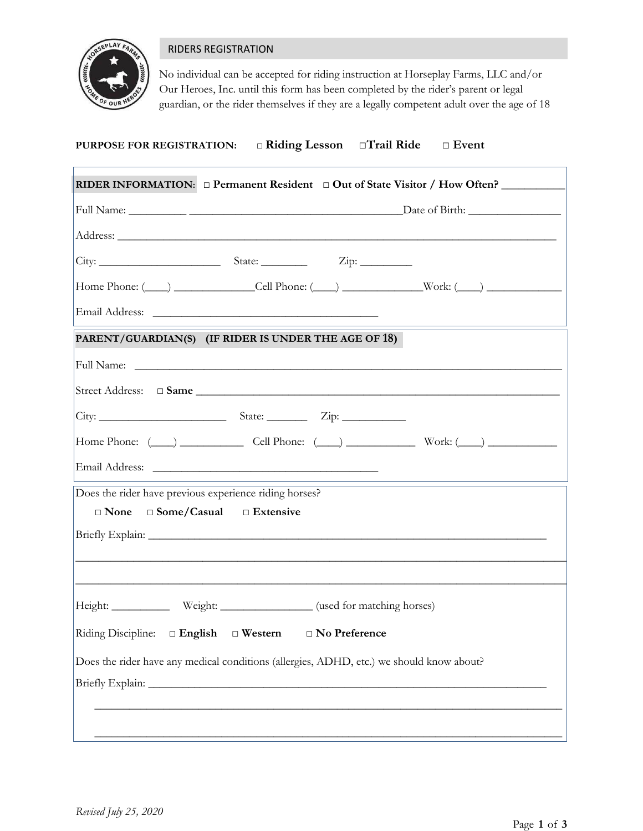

ſ

## RIDERS REGISTRATION

No individual can be accepted for riding instruction at Horseplay Farms, LLC and/or Our Heroes, Inc. until this form has been completed by the rider's parent or legal guardian, or the rider themselves if they are a legally competent adult over the age of 18

# **PURPOSE FOR REGISTRATION: □ Riding Lesson □Trail Ride □ Event**

|                                                                                          | RIDER INFORMATION: $\Box$ Permanent Resident $\Box$ Out of State Visitor / How Often? |  |  |  |
|------------------------------------------------------------------------------------------|---------------------------------------------------------------------------------------|--|--|--|
|                                                                                          |                                                                                       |  |  |  |
|                                                                                          |                                                                                       |  |  |  |
|                                                                                          |                                                                                       |  |  |  |
|                                                                                          | Home Phone: $(\_\_\)$ $\_\_\_\_$ Cell Phone: $(\_\_\)$ $\_\_\_\_\_$ Work: $(\_\_\)$   |  |  |  |
|                                                                                          |                                                                                       |  |  |  |
| PARENT/GUARDIAN(S) (IF RIDER IS UNDER THE AGE OF 18)                                     |                                                                                       |  |  |  |
|                                                                                          |                                                                                       |  |  |  |
|                                                                                          |                                                                                       |  |  |  |
|                                                                                          |                                                                                       |  |  |  |
|                                                                                          | Home Phone: $(\_\_\)$ Cell Phone: $(\_\_\)$ Work: $(\_\_\)$                           |  |  |  |
|                                                                                          |                                                                                       |  |  |  |
| Does the rider have previous experience riding horses?                                   |                                                                                       |  |  |  |
| $\Box$ Some/Casual $\Box$ Extensive<br>$\Box$ None                                       |                                                                                       |  |  |  |
|                                                                                          |                                                                                       |  |  |  |
|                                                                                          |                                                                                       |  |  |  |
| Height: _______________ Weight: __________________ (used for matching horses)            |                                                                                       |  |  |  |
| Riding Discipline: □ English □ Western □ No Preference                                   |                                                                                       |  |  |  |
| Does the rider have any medical conditions (allergies, ADHD, etc.) we should know about? |                                                                                       |  |  |  |
|                                                                                          |                                                                                       |  |  |  |
|                                                                                          |                                                                                       |  |  |  |
|                                                                                          |                                                                                       |  |  |  |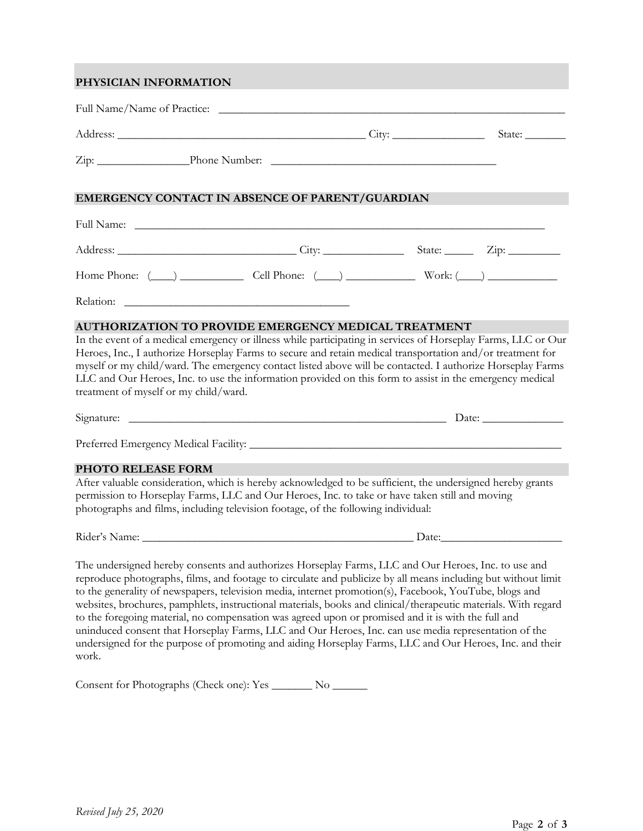## **PHYSICIAN INFORMATION**

|                                       |                                                                                                                                                                                                                                                                                                                                                                                                                                                                                                                                                     | State: |
|---------------------------------------|-----------------------------------------------------------------------------------------------------------------------------------------------------------------------------------------------------------------------------------------------------------------------------------------------------------------------------------------------------------------------------------------------------------------------------------------------------------------------------------------------------------------------------------------------------|--------|
|                                       |                                                                                                                                                                                                                                                                                                                                                                                                                                                                                                                                                     |        |
|                                       | EMERGENCY CONTACT IN ABSENCE OF PARENT/GUARDIAN                                                                                                                                                                                                                                                                                                                                                                                                                                                                                                     |        |
|                                       |                                                                                                                                                                                                                                                                                                                                                                                                                                                                                                                                                     |        |
|                                       | Address: <u>City:</u> City: State: Zip: Zip:                                                                                                                                                                                                                                                                                                                                                                                                                                                                                                        |        |
|                                       | Home Phone: $(\_\_\_)$ Cell Phone: $(\_\_)$ Work: $(\_\_)$                                                                                                                                                                                                                                                                                                                                                                                                                                                                                          |        |
|                                       |                                                                                                                                                                                                                                                                                                                                                                                                                                                                                                                                                     |        |
| treatment of myself or my child/ward. | myself or my child/ward. The emergency contact listed above will be contacted. I authorize Horseplay Farms<br>LLC and Our Heroes, Inc. to use the information provided on this form to assist in the emergency medical                                                                                                                                                                                                                                                                                                                              |        |
|                                       |                                                                                                                                                                                                                                                                                                                                                                                                                                                                                                                                                     |        |
|                                       |                                                                                                                                                                                                                                                                                                                                                                                                                                                                                                                                                     |        |
| PHOTO RELEASE FORM                    | After valuable consideration, which is hereby acknowledged to be sufficient, the undersigned hereby grants<br>permission to Horseplay Farms, LLC and Our Heroes, Inc. to take or have taken still and moving<br>photographs and films, including television footage, of the following individual:                                                                                                                                                                                                                                                   |        |
|                                       |                                                                                                                                                                                                                                                                                                                                                                                                                                                                                                                                                     |        |
|                                       | The undersigned hereby consents and authorizes Horseplay Farms, LLC and Our Heroes, Inc. to use and<br>reproduce photographs, films, and footage to circulate and publicize by all means including but without limit<br>to the generality of newspapers, television media, internet promotion(s), Facebook, YouTube, blogs and<br>websites, brochures, pamphlets, instructional materials, books and clinical/therapeutic materials. With regard<br>to the forecours metand, no compensation was expediuous or promised and it is with the full and |        |

to the foregoing material, no compensation was agreed upon or promised and it is with the full and uninduced consent that Horseplay Farms, LLC and Our Heroes, Inc. can use media representation of the undersigned for the purpose of promoting and aiding Horseplay Farms, LLC and Our Heroes, Inc. and their work.

Consent for Photographs (Check one): Yes \_\_\_\_\_\_\_ No \_\_\_\_\_\_